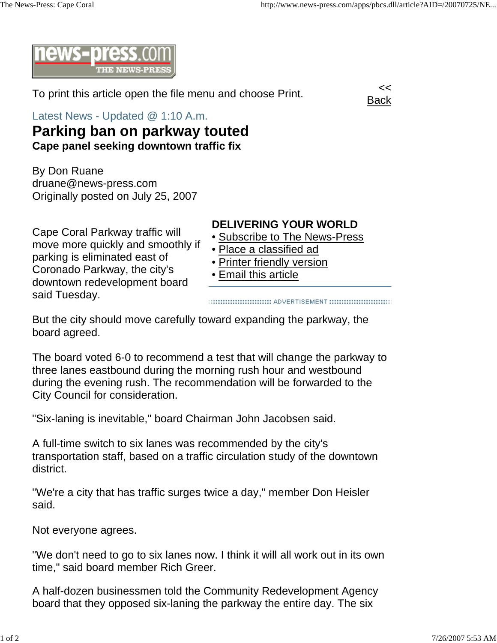

To print this article open the file menu and choose Print.



Latest News - Updated @ 1:10 A.m.

## **Parking ban on parkway touted Cape panel seeking downtown traffic fix**

By Don Ruane druane@news-press.com Originally posted on July 25, 2007

Cape Coral Parkway traffic will

parking is eliminated east of Coronado Parkway, the city's downtown redevelopment board

said Tuesday.

move more quickly and smoothly if

## **DELIVERING YOUR WORLD**

- Subscribe to The News-Press
- Place a classified ad
- Printer friendly version
- Email this article

::::::::::::::::::::::::::::::::: ADVERTISEMENT ::::::::::::::::::::::::::::::::

But the city should move carefully toward expanding the parkway, the board agreed.

The board voted 6-0 to recommend a test that will change the parkway to three lanes eastbound during the morning rush hour and westbound during the evening rush. The recommendation will be forwarded to the City Council for consideration.

"Six-laning is inevitable," board Chairman John Jacobsen said.

A full-time switch to six lanes was recommended by the city's transportation staff, based on a traffic circulation study of the downtown district.

"We're a city that has traffic surges twice a day," member Don Heisler said.

Not everyone agrees.

"We don't need to go to six lanes now. I think it will all work out in its own time," said board member Rich Greer.

A half-dozen businessmen told the Community Redevelopment Agency board that they opposed six-laning the parkway the entire day. The six